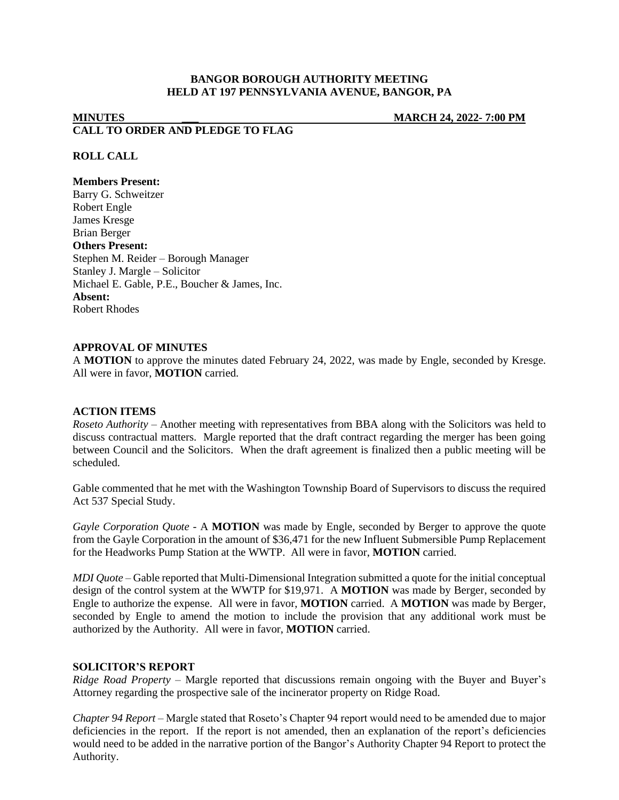# **BANGOR BOROUGH AUTHORITY MEETING HELD AT 197 PENNSYLVANIA AVENUE, BANGOR, PA**

# **MINUTES \_\_\_ MARCH 24, 2022- 7:00 PM CALL TO ORDER AND PLEDGE TO FLAG**

## **ROLL CALL**

#### **Members Present:**

Barry G. Schweitzer Robert Engle James Kresge Brian Berger **Others Present:** Stephen M. Reider – Borough Manager Stanley J. Margle – Solicitor Michael E. Gable, P.E., Boucher & James, Inc. **Absent:** Robert Rhodes

#### **APPROVAL OF MINUTES**

A **MOTION** to approve the minutes dated February 24, 2022, was made by Engle, seconded by Kresge. All were in favor, **MOTION** carried.

## **ACTION ITEMS**

*Roseto Authority –* Another meeting with representatives from BBA along with the Solicitors was held to discuss contractual matters. Margle reported that the draft contract regarding the merger has been going between Council and the Solicitors. When the draft agreement is finalized then a public meeting will be scheduled.

Gable commented that he met with the Washington Township Board of Supervisors to discuss the required Act 537 Special Study.

*Gayle Corporation Quote -* A **MOTION** was made by Engle, seconded by Berger to approve the quote from the Gayle Corporation in the amount of \$36,471 for the new Influent Submersible Pump Replacement for the Headworks Pump Station at the WWTP. All were in favor, **MOTION** carried.

*MDI Quote –* Gable reported that Multi-Dimensional Integration submitted a quote for the initial conceptual design of the control system at the WWTP for \$19,971. A **MOTION** was made by Berger, seconded by Engle to authorize the expense. All were in favor, **MOTION** carried. A **MOTION** was made by Berger, seconded by Engle to amend the motion to include the provision that any additional work must be authorized by the Authority. All were in favor, **MOTION** carried.

#### **SOLICITOR'S REPORT**

*Ridge Road Property* – Margle reported that discussions remain ongoing with the Buyer and Buyer's Attorney regarding the prospective sale of the incinerator property on Ridge Road.

*Chapter 94 Report –* Margle stated that Roseto's Chapter 94 report would need to be amended due to major deficiencies in the report. If the report is not amended, then an explanation of the report's deficiencies would need to be added in the narrative portion of the Bangor's Authority Chapter 94 Report to protect the Authority.